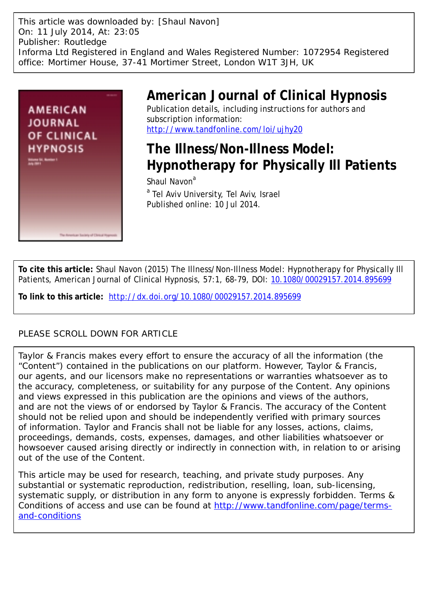This article was downloaded by: [Shaul Navon] On: 11 July 2014, At: 23:05 Publisher: Routledge Informa Ltd Registered in England and Wales Registered Number: 1072954 Registered office: Mortimer House, 37-41 Mortimer Street, London W1T 3JH, UK



# **American Journal of Clinical Hypnosis**

Publication details, including instructions for authors and subscription information: <http://www.tandfonline.com/loi/ujhy20>

**The Illness/Non-Illness Model: Hypnotherapy for Physically Ill Patients**

Shaul Navon<sup>a</sup>

<sup>a</sup> Tel Aviv University, Tel Aviv, Israel Published online: 10 Jul 2014.

**To cite this article:** Shaul Navon (2015) The Illness/Non-Illness Model: Hypnotherapy for Physically Ill Patients, American Journal of Clinical Hypnosis, 57:1, 68-79, DOI: [10.1080/00029157.2014.895699](http://www.tandfonline.com/action/showCitFormats?doi=10.1080/00029157.2014.895699)

**To link to this article:** <http://dx.doi.org/10.1080/00029157.2014.895699>

## PLEASE SCROLL DOWN FOR ARTICLE

Taylor & Francis makes every effort to ensure the accuracy of all the information (the "Content") contained in the publications on our platform. However, Taylor & Francis, our agents, and our licensors make no representations or warranties whatsoever as to the accuracy, completeness, or suitability for any purpose of the Content. Any opinions and views expressed in this publication are the opinions and views of the authors, and are not the views of or endorsed by Taylor & Francis. The accuracy of the Content should not be relied upon and should be independently verified with primary sources of information. Taylor and Francis shall not be liable for any losses, actions, claims, proceedings, demands, costs, expenses, damages, and other liabilities whatsoever or howsoever caused arising directly or indirectly in connection with, in relation to or arising out of the use of the Content.

This article may be used for research, teaching, and private study purposes. Any substantial or systematic reproduction, redistribution, reselling, loan, sub-licensing, systematic supply, or distribution in any form to anyone is expressly forbidden. Terms & Conditions of access and use can be found at [http://www.tandfonline.com/page/terms](http://www.tandfonline.com/page/terms-and-conditions)[and-conditions](http://www.tandfonline.com/page/terms-and-conditions)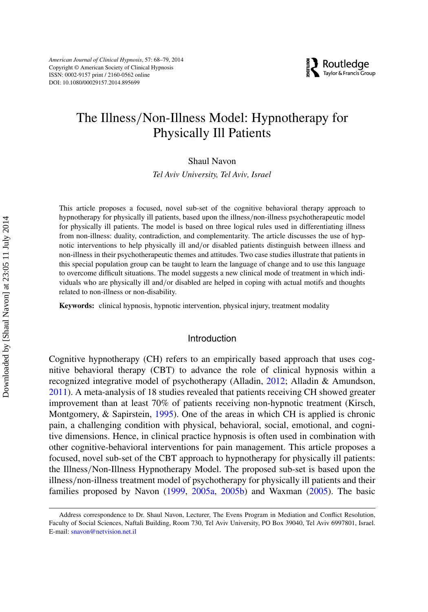## The Illness*/*Non-Illness Model: Hypnotherapy for Physically Ill Patients

#### Shaul Navon

*Tel Aviv University, Tel Aviv, Israel*

This article proposes a focused, novel sub-set of the cognitive behavioral therapy approach to hypnotherapy for physically ill patients, based upon the illness*/*non-illness psychotherapeutic model for physically ill patients. The model is based on three logical rules used in differentiating illness from non-illness: duality, contradiction, and complementarity. The article discusses the use of hypnotic interventions to help physically ill and*/*or disabled patients distinguish between illness and non-illness in their psychotherapeutic themes and attitudes. Two case studies illustrate that patients in this special population group can be taught to learn the language of change and to use this language to overcome difficult situations. The model suggests a new clinical mode of treatment in which individuals who are physically ill and*/*or disabled are helped in coping with actual motifs and thoughts related to non-illness or non-disability.

**Keywords:** clinical hypnosis, hypnotic intervention, physical injury, treatment modality

## Introduction

Cognitive hypnotherapy (CH) refers to an empirically based approach that uses cognitive behavioral therapy (CBT) to advance the role of clinical hypnosis within a recognized integrative model of psychotherapy (Alladin, [2012;](#page-11-0) Alladin & Amundson, [2011\)](#page-11-1). A meta-analysis of 18 studies revealed that patients receiving CH showed greater improvement than at least 70% of patients receiving non-hypnotic treatment (Kirsch, Montgomery, & Sapirstein, [1995\)](#page-12-0). One of the areas in which CH is applied is chronic pain, a challenging condition with physical, behavioral, social, emotional, and cognitive dimensions. Hence, in clinical practice hypnosis is often used in combination with other cognitive-behavioral interventions for pain management. This article proposes a focused, novel sub-set of the CBT approach to hypnotherapy for physically ill patients: the Illness*/*Non-Illness Hypnotherapy Model. The proposed sub-set is based upon the illness*/*non-illness treatment model of psychotherapy for physically ill patients and their families proposed by Navon [\(1999,](#page-12-1) [2005a,](#page-12-2) [2005b\)](#page-12-3) and Waxman [\(2005\)](#page-12-4). The basic

Address correspondence to Dr. Shaul Navon, Lecturer, The Evens Program in Mediation and Conflict Resolution, Faculty of Social Sciences, Naftali Building, Room 730, Tel Aviv University, PO Box 39040, Tel Aviv 6997801, Israel. E-mail: [snavon@netvision.net.il](mailto:snavon@netvision.net.il)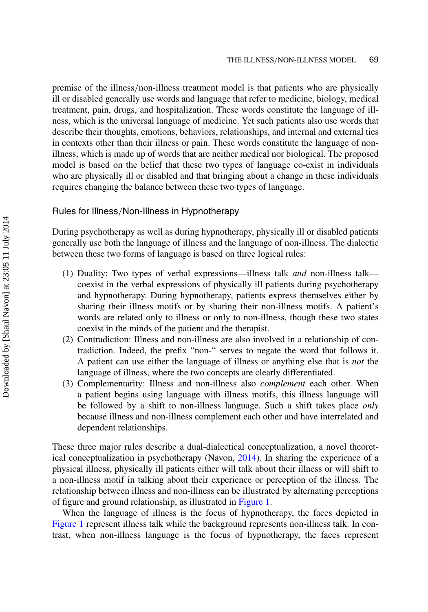premise of the illness*/*non-illness treatment model is that patients who are physically ill or disabled generally use words and language that refer to medicine, biology, medical treatment, pain, drugs, and hospitalization. These words constitute the language of illness, which is the universal language of medicine. Yet such patients also use words that describe their thoughts, emotions, behaviors, relationships, and internal and external ties in contexts other than their illness or pain. These words constitute the language of nonillness, which is made up of words that are neither medical nor biological. The proposed model is based on the belief that these two types of language co-exist in individuals who are physically ill or disabled and that bringing about a change in these individuals requires changing the balance between these two types of language.

## Rules for Illness*/*Non-Illness in Hypnotherapy

During psychotherapy as well as during hypnotherapy, physically ill or disabled patients generally use both the language of illness and the language of non-illness. The dialectic between these two forms of language is based on three logical rules:

- (1) Duality: Two types of verbal expressions—illness talk *and* non-illness talk coexist in the verbal expressions of physically ill patients during psychotherapy and hypnotherapy. During hypnotherapy, patients express themselves either by sharing their illness motifs or by sharing their non-illness motifs. A patient's words are related only to illness or only to non-illness, though these two states coexist in the minds of the patient and the therapist.
- (2) Contradiction: Illness and non-illness are also involved in a relationship of contradiction. Indeed, the prefix "non-" serves to negate the word that follows it. A patient can use either the language of illness or anything else that is *not* the language of illness, where the two concepts are clearly differentiated.
- (3) Complementarity: Illness and non-illness also *complement* each other. When a patient begins using language with illness motifs, this illness language will be followed by a shift to non-illness language. Such a shift takes place *only* because illness and non-illness complement each other and have interrelated and dependent relationships.

These three major rules describe a dual-dialectical conceptualization, a novel theoretical conceptualization in psychotherapy (Navon, [2014\)](#page-12-5). In sharing the experience of a physical illness, physically ill patients either will talk about their illness or will shift to a non-illness motif in talking about their experience or perception of the illness. The relationship between illness and non-illness can be illustrated by alternating perceptions of figure and ground relationship, as illustrated in [Figure 1.](#page-3-0)

When the language of illness is the focus of hypnotherapy, the faces depicted in [Figure 1](#page-3-0) represent illness talk while the background represents non-illness talk. In contrast, when non-illness language is the focus of hypnotherapy, the faces represent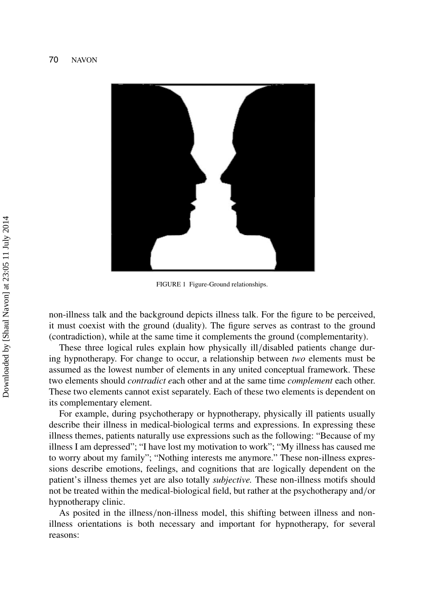<span id="page-3-0"></span>

FIGURE 1 Figure-Ground relationships.

non-illness talk and the background depicts illness talk. For the figure to be perceived, it must coexist with the ground (duality). The figure serves as contrast to the ground (contradiction), while at the same time it complements the ground (complementarity).

These three logical rules explain how physically ill*/*disabled patients change during hypnotherapy. For change to occur, a relationship between *two* elements must be assumed as the lowest number of elements in any united conceptual framework. These two elements should *contradict e*ach other and at the same time *complement* each other. These two elements cannot exist separately. Each of these two elements is dependent on its complementary element.

For example, during psychotherapy or hypnotherapy, physically ill patients usually describe their illness in medical-biological terms and expressions. In expressing these illness themes, patients naturally use expressions such as the following: "Because of my illness I am depressed"; "I have lost my motivation to work"; "My illness has caused me to worry about my family"; "Nothing interests me anymore." These non-illness expressions describe emotions, feelings, and cognitions that are logically dependent on the patient's illness themes yet are also totally *subjective.* These non-illness motifs should not be treated within the medical-biological field, but rather at the psychotherapy and*/*or hypnotherapy clinic.

As posited in the illness*/*non-illness model, this shifting between illness and nonillness orientations is both necessary and important for hypnotherapy, for several reasons: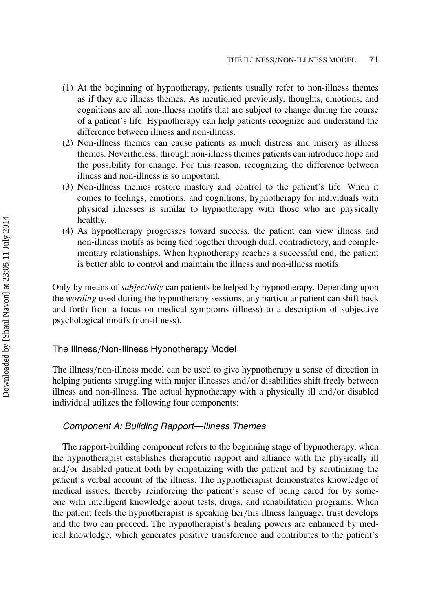- (1) At the beginning of hypnotherapy, patients usually refer to non-illness themes as if they are illness themes. As mentioned previously, thoughts, emotions, and cognitions are all non-illness motifs that are subject to change during the course of a patient's life. Hypnotherapy can help patients recognize and understand the difference between illness and non-illness.
- (2) Non-illness themes can cause patients as much distress and misery as illness themes. Nevertheless, through non-illness themes patients can introduce hope and the possibility for change. For this reason, recognizing the difference between illness and non-illness is so important.
- (3) Non-illness themes restore mastery and control to the patient's life. When it comes to feelings, emotions, and cognitions, hypnotherapy for individuals with physical illnesses is similar to hypnotherapy with those who are physically healthy.
- (4) As hypnotherapy progresses toward success, the patient can view illness and non-illness motifs as being tied together through dual, contradictory, and complementary relationships. When hypnotherapy reaches a successful end, the patient is better able to control and maintain the illness and non-illness motifs.

Only by means of *subjectivity* can patients be helped by hypnotherapy. Depending upon the *wording* used during the hypnotherapy sessions, any particular patient can shift back and forth from a focus on medical symptoms (illness) to a description of subjective psychological motifs (non-illness).

## The Illness*/*Non-Illness Hypnotherapy Model

The illness*/*non-illness model can be used to give hypnotherapy a sense of direction in helping patients struggling with major illnesses and*/*or disabilities shift freely between illness and non-illness. The actual hypnotherapy with a physically ill and*/*or disabled individual utilizes the following four components:

## *Component A: Building Rapport—Illness Themes*

The rapport-building component refers to the beginning stage of hypnotherapy, when the hypnotherapist establishes therapeutic rapport and alliance with the physically ill and*/*or disabled patient both by empathizing with the patient and by scrutinizing the patient's verbal account of the illness. The hypnotherapist demonstrates knowledge of medical issues, thereby reinforcing the patient's sense of being cared for by someone with intelligent knowledge about tests, drugs, and rehabilitation programs. When the patient feels the hypnotherapist is speaking her*/*his illness language, trust develops and the two can proceed. The hypnotherapist's healing powers are enhanced by medical knowledge, which generates positive transference and contributes to the patient's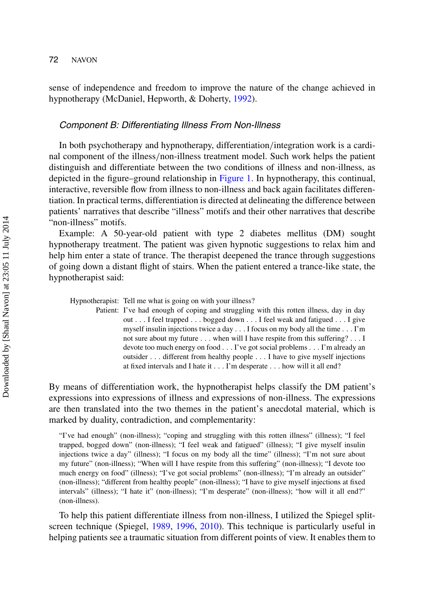sense of independence and freedom to improve the nature of the change achieved in hypnotherapy (McDaniel, Hepworth, & Doherty, [1992\)](#page-12-6).

## *Component B: Differentiating Illness From Non-Illness*

In both psychotherapy and hypnotherapy, differentiation*/*integration work is a cardinal component of the illness*/*non-illness treatment model. Such work helps the patient distinguish and differentiate between the two conditions of illness and non-illness, as depicted in the figure–ground relationship in [Figure 1.](#page-3-0) In hypnotherapy, this continual, interactive, reversible flow from illness to non-illness and back again facilitates differentiation. In practical terms, differentiation is directed at delineating the difference between patients' narratives that describe "illness" motifs and their other narratives that describe "non-illness" motifs.

Example: A 50-year-old patient with type 2 diabetes mellitus (DM) sought hypnotherapy treatment. The patient was given hypnotic suggestions to relax him and help him enter a state of trance. The therapist deepened the trance through suggestions of going down a distant flight of stairs. When the patient entered a trance-like state, the hypnotherapist said:

Hypnotherapist: Tell me what is going on with your illness?

Patient: I've had enough of coping and struggling with this rotten illness, day in day out *...* I feel trapped *...* bogged down *...* I feel weak and fatigued *...* I give myself insulin injections twice a day *...* I focus on my body all the time *...* I'm not sure about my future *...* when will I have respite from this suffering? *...* I devote too much energy on food *...* I've got social problems *...* I'm already an outsider *...* different from healthy people *...* I have to give myself injections at fixed intervals and I hate it *...* I'm desperate *...* how will it all end?

By means of differentiation work, the hypnotherapist helps classify the DM patient's expressions into expressions of illness and expressions of non-illness. The expressions are then translated into the two themes in the patient's anecdotal material, which is marked by duality, contradiction, and complementarity:

"I've had enough" (non-illness); "coping and struggling with this rotten illness" (illness); "I feel trapped, bogged down" (non-illness); "I feel weak and fatigued" (illness); "I give myself insulin injections twice a day" (illness); "I focus on my body all the time" (illness); "I'm not sure about my future" (non-illness); "When will I have respite from this suffering" (non-illness); "I devote too much energy on food" (illness); "I've got social problems" (non-illness); "I'm already an outsider" (non-illness); "different from healthy people" (non-illness); "I have to give myself injections at fixed intervals" (illness); "I hate it" (non-illness); "I'm desperate" (non-illness); "how will it all end?" (non-illness).

To help this patient differentiate illness from non-illness, I utilized the Spiegel splitscreen technique (Spiegel, [1989,](#page-12-7) [1996,](#page-12-8) [2010\)](#page-12-9). This technique is particularly useful in helping patients see a traumatic situation from different points of view. It enables them to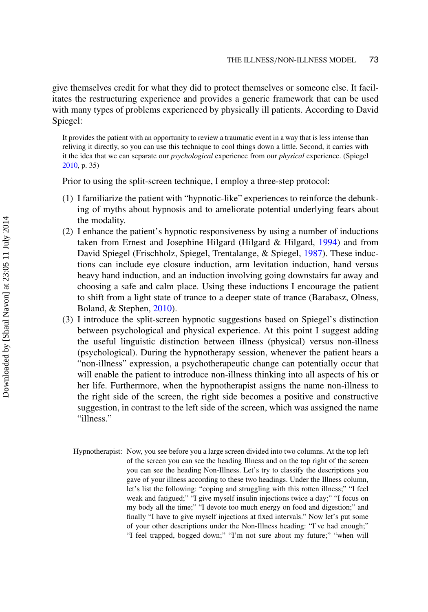give themselves credit for what they did to protect themselves or someone else. It facilitates the restructuring experience and provides a generic framework that can be used with many types of problems experienced by physically ill patients. According to David Spiegel:

It provides the patient with an opportunity to review a traumatic event in a way that is less intense than reliving it directly, so you can use this technique to cool things down a little. Second, it carries with it the idea that we can separate our *psychological* experience from our *physical* experience. (Spiegel [2010,](#page-12-9) p. 35)

Prior to using the split-screen technique, I employ a three-step protocol:

- (1) I familiarize the patient with "hypnotic-like" experiences to reinforce the debunking of myths about hypnosis and to ameliorate potential underlying fears about the modality.
- (2) I enhance the patient's hypnotic responsiveness by using a number of inductions taken from Ernest and Josephine Hilgard (Hilgard & Hilgard, [1994\)](#page-12-10) and from David Spiegel (Frischholz, Spiegel, Trentalange, & Spiegel, [1987\)](#page-11-2). These inductions can include eye closure induction, arm levitation induction, hand versus heavy hand induction, and an induction involving going downstairs far away and choosing a safe and calm place. Using these inductions I encourage the patient to shift from a light state of trance to a deeper state of trance (Barabasz, Olness, Boland, & Stephen, [2010\)](#page-11-3).
- (3) I introduce the split-screen hypnotic suggestions based on Spiegel's distinction between psychological and physical experience. At this point I suggest adding the useful linguistic distinction between illness (physical) versus non-illness (psychological). During the hypnotherapy session, whenever the patient hears a "non-illness" expression, a psychotherapeutic change can potentially occur that will enable the patient to introduce non-illness thinking into all aspects of his or her life. Furthermore, when the hypnotherapist assigns the name non-illness to the right side of the screen, the right side becomes a positive and constructive suggestion, in contrast to the left side of the screen, which was assigned the name "illness."
	- Hypnotherapist: Now, you see before you a large screen divided into two columns. At the top left of the screen you can see the heading Illness and on the top right of the screen you can see the heading Non-Illness. Let's try to classify the descriptions you gave of your illness according to these two headings. Under the Illness column, let's list the following: "coping and struggling with this rotten illness;" "I feel weak and fatigued;" "I give myself insulin injections twice a day;" "I focus on my body all the time;" "I devote too much energy on food and digestion;" and finally "I have to give myself injections at fixed intervals." Now let's put some of your other descriptions under the Non-Illness heading: "I've had enough;" "I feel trapped, bogged down;" "I'm not sure about my future;" "when will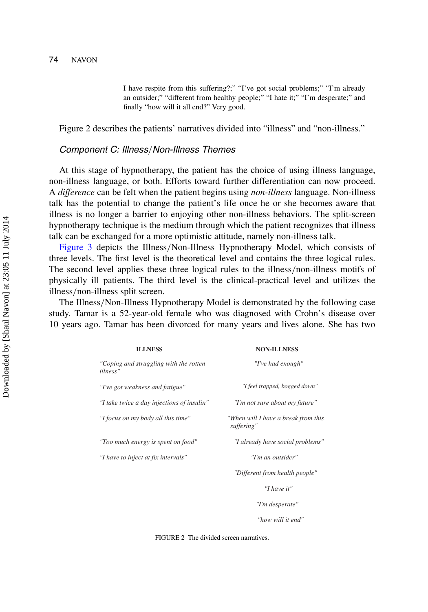I have respite from this suffering?;" "I've got social problems;" "I'm already an outsider;" "different from healthy people;" "I hate it;" "I'm desperate;" and finally "how will it all end?" Very good[.](#page-7-0)

Figure 2 describes the patients' narratives divided into "illness" and "non-illness."

### *Component C: Illness/Non-Illness Themes*

At this stage of hypnotherapy, the patient has the choice of using illness language, non-illness language, or both. Efforts toward further differentiation can now proceed. A *difference* can be felt when the patient begins using *non-illness* language. Non-illness talk has the potential to change the patient's life once he or she becomes aware that illness is no longer a barrier to enjoying other non-illness behaviors. The split-screen hypnotherapy technique is the medium through which the patient recognizes that illness talk can be exchanged for a more optimistic attitude, namely non-illness talk.

[Figure 3](#page-8-0) depicts the Illness*/*Non-Illness Hypnotherapy Model, which consists of three levels. The first level is the theoretical level and contains the three logical rules. The second level applies these three logical rules to the illness*/*non-illness motifs of physically ill patients. The third level is the clinical-practical level and utilizes the illness*/*non-illness split screen.

<span id="page-7-0"></span>The Illness*/*Non-Illness Hypnotherapy Model is demonstrated by the following case study. Tamar is a 52-year-old female who was diagnosed with Crohn's disease over 10 years ago. Tamar has been divorced for many years and lives alone. She has two

| <b>ILLNESS</b>                                     | <b>NON-ILLNESS</b>                                |
|----------------------------------------------------|---------------------------------------------------|
| "Coping and struggling with the rotten<br>illness" | "I've had enough"                                 |
| "I've got weakness and fatigue"                    | "I feel trapped, bogged down"                     |
| "I take twice a day injections of insulin"         | "I'm not sure about my future"                    |
| "I focus on my body all this time"                 | "When will I have a break from this<br>suffering" |
| "Too much energy is spent on food"                 | "I already have social problems"                  |
| "I have to inject at fix intervals"                | "I'm an outsider"                                 |
|                                                    | "Different from health people"                    |
|                                                    | "I have it"                                       |
|                                                    | "I'm desperate"                                   |
|                                                    | "how will it end"                                 |

FIGURE 2 The divided screen narratives.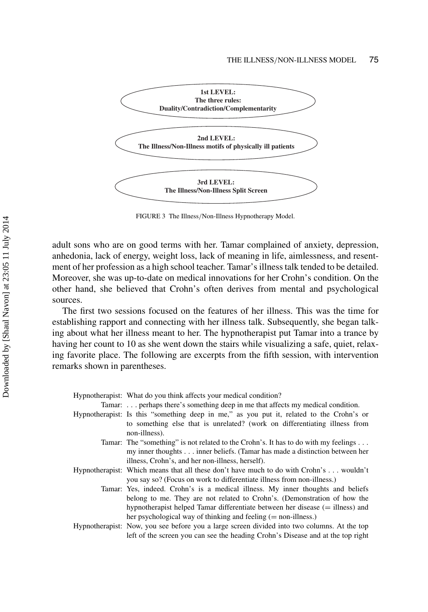<span id="page-8-0"></span>

FIGURE 3 The Illness*/*Non-Illness Hypnotherapy Model.

adult sons who are on good terms with her. Tamar complained of anxiety, depression, anhedonia, lack of energy, weight loss, lack of meaning in life, aimlessness, and resentment of her profession as a high school teacher. Tamar's illness talk tended to be detailed. Moreover, she was up-to-date on medical innovations for her Crohn's condition. On the other hand, she believed that Crohn's often derives from mental and psychological sources.

The first two sessions focused on the features of her illness. This was the time for establishing rapport and connecting with her illness talk. Subsequently, she began talking about what her illness meant to her. The hypnotherapist put Tamar into a trance by having her count to 10 as she went down the stairs while visualizing a safe, quiet, relaxing favorite place. The following are excerpts from the fifth session, with intervention remarks shown in parentheses.

| Hypnotherapist: What do you think affects your medical condition?                           |  |
|---------------------------------------------------------------------------------------------|--|
| Tamar:  perhaps there's something deep in me that affects my medical condition.             |  |
| Hypnotherapist: Is this "something deep in me," as you put it, related to the Crohn's or    |  |
| to something else that is unrelated? (work on differentiating illness from                  |  |
| non-illness).                                                                               |  |
| Tamar: The "something" is not related to the Crohn's. It has to do with my feelings         |  |
| my inner thoughts inner beliefs. (Tamar has made a distinction between her                  |  |
| illness, Crohn's, and her non-illness, herself).                                            |  |
| Hypnotherapist: Which means that all these don't have much to do with Crohn's  wouldn't     |  |
| you say so? (Focus on work to differentiate illness from non-illness.)                      |  |
| Tamar: Yes, indeed. Crohn's is a medical illness. My inner thoughts and beliefs             |  |
| belong to me. They are not related to Crohn's. (Demonstration of how the                    |  |
| hypnotherapist helped Tamar differentiate between her disease $($ = illness) and            |  |
| her psychological way of thinking and feeling $(=$ non-illness.)                            |  |
| Hypnotherapist: Now, you see before you a large screen divided into two columns. At the top |  |
| left of the screen you can see the heading Crohn's Disease and at the top right             |  |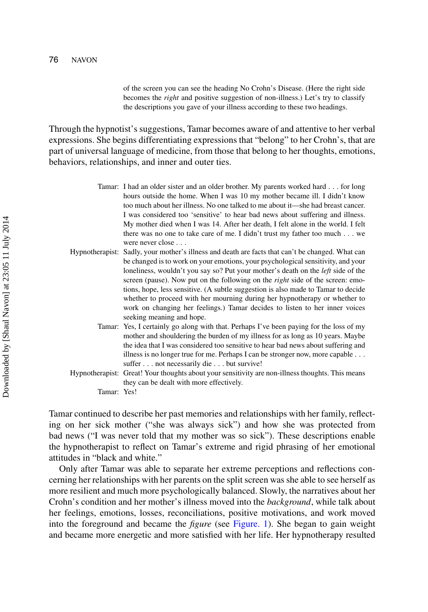of the screen you can see the heading No Crohn's Disease. (Here the right side becomes the *right* and positive suggestion of non-illness.) Let's try to classify the descriptions you gave of your illness according to these two headings.

Through the hypnotist's suggestions, Tamar becomes aware of and attentive to her verbal expressions. She begins differentiating expressions that "belong" to her Crohn's, that are part of universal language of medicine, from those that belong to her thoughts, emotions, behaviors, relationships, and inner and outer ties.

- Tamar: I had an older sister and an older brother. My parents worked hard *...* for long hours outside the home. When I was 10 my mother became ill. I didn't know too much about her illness. No one talked to me about it—she had breast cancer. I was considered too 'sensitive' to hear bad news about suffering and illness. My mother died when I was 14. After her death, I felt alone in the world. I felt there was no one to take care of me. I didn't trust my father too much *...* we were never close *...*
- Hypnotherapist: Sadly, your mother's illness and death are facts that can't be changed. What can be changed is to work on your emotions, your psychological sensitivity, and your loneliness, wouldn't you say so? Put your mother's death on the *left* side of the screen (pause). Now put on the following on the *right* side of the screen: emotions, hope, less sensitive. (A subtle suggestion is also made to Tamar to decide whether to proceed with her mourning during her hypnotherapy or whether to work on changing her feelings.) Tamar decides to listen to her inner voices seeking meaning and hope.
	- Tamar: Yes, I certainly go along with that. Perhaps I've been paying for the loss of my mother and shouldering the burden of my illness for as long as 10 years. Maybe the idea that I was considered too sensitive to hear bad news about suffering and illness is no longer true for me. Perhaps I can be stronger now, more capable *...* suffer *...* not necessarily die *...* but survive!

Hypnotherapist: Great! Your thoughts about your sensitivity are non-illness thoughts. This means they can be dealt with more effectively.

Tamar: Yes!

Tamar continued to describe her past memories and relationships with her family, reflecting on her sick mother ("she was always sick") and how she was protected from bad news ("I was never told that my mother was so sick"). These descriptions enable the hypnotherapist to reflect on Tamar's extreme and rigid phrasing of her emotional attitudes in "black and white."

Only after Tamar was able to separate her extreme perceptions and reflections concerning her relationships with her parents on the split screen was she able to see herself as more resilient and much more psychologically balanced. Slowly, the narratives about her Crohn's condition and her mother's illness moved into the *background*, while talk about her feelings, emotions, losses, reconciliations, positive motivations, and work moved into the foreground and became the *figure* (see [Figure. 1\)](#page-3-0). She began to gain weight and became more energetic and more satisfied with her life. Her hypnotherapy resulted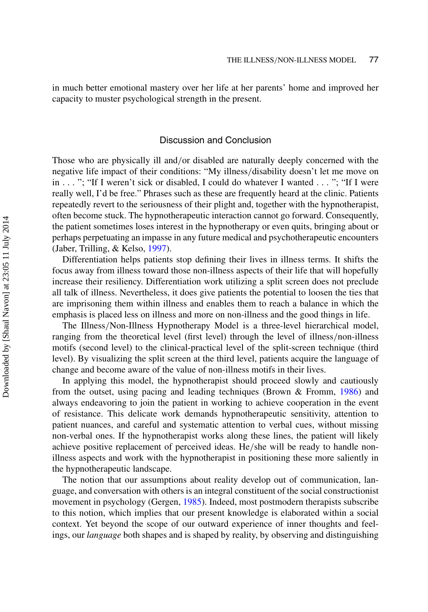in much better emotional mastery over her life at her parents' home and improved her capacity to muster psychological strength in the present.

## Discussion and Conclusion

Those who are physically ill and*/*or disabled are naturally deeply concerned with the negative life impact of their conditions: "My illness*/*disability doesn't let me move on in *...* "; "If I weren't sick or disabled, I could do whatever I wanted *...* "; "If I were really well, I'd be free." Phrases such as these are frequently heard at the clinic. Patients repeatedly revert to the seriousness of their plight and, together with the hypnotherapist, often become stuck. The hypnotherapeutic interaction cannot go forward. Consequently, the patient sometimes loses interest in the hypnotherapy or even quits, bringing about or perhaps perpetuating an impasse in any future medical and psychotherapeutic encounters (Jaber, Trilling, & Kelso, [1997\)](#page-12-11).

Differentiation helps patients stop defining their lives in illness terms. It shifts the focus away from illness toward those non-illness aspects of their life that will hopefully increase their resiliency. Differentiation work utilizing a split screen does not preclude all talk of illness. Nevertheless, it does give patients the potential to loosen the ties that are imprisoning them within illness and enables them to reach a balance in which the emphasis is placed less on illness and more on non-illness and the good things in life.

The Illness*/*Non-Illness Hypnotherapy Model is a three-level hierarchical model, ranging from the theoretical level (first level) through the level of illness*/*non-illness motifs (second level) to the clinical-practical level of the split-screen technique (third level). By visualizing the split screen at the third level, patients acquire the language of change and become aware of the value of non-illness motifs in their lives.

In applying this model, the hypnotherapist should proceed slowly and cautiously from the outset, using pacing and leading techniques (Brown & Fromm, [1986\)](#page-11-4) and always endeavoring to join the patient in working to achieve cooperation in the event of resistance. This delicate work demands hypnotherapeutic sensitivity, attention to patient nuances, and careful and systematic attention to verbal cues, without missing non-verbal ones. If the hypnotherapist works along these lines, the patient will likely achieve positive replacement of perceived ideas. He*/*she will be ready to handle nonillness aspects and work with the hypnotherapist in positioning these more saliently in the hypnotherapeutic landscape.

The notion that our assumptions about reality develop out of communication, language, and conversation with others is an integral constituent of the social constructionist movement in psychology (Gergen, [1985\)](#page-12-12). Indeed, most postmodern therapists subscribe to this notion, which implies that our present knowledge is elaborated within a social context. Yet beyond the scope of our outward experience of inner thoughts and feelings, our *language* both shapes and is shaped by reality, by observing and distinguishing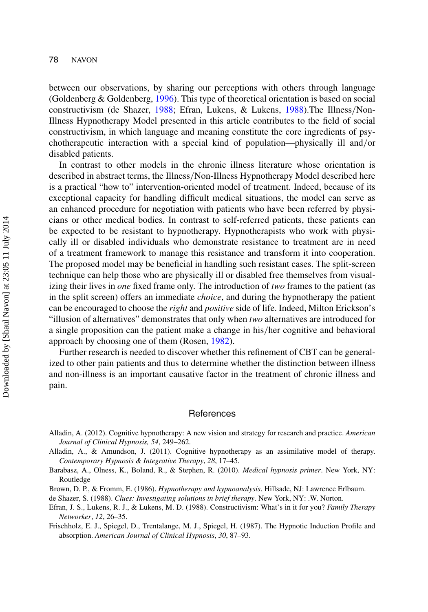between our observations, by sharing our perceptions with others through language (Goldenberg & Goldenberg, [1996\)](#page-12-13). This type of theoretical orientation is based on social constructivism (de Shazer, [1988;](#page-11-5) Efran, Lukens, & Lukens, [1988\)](#page-11-6).The Illness*/*Non-Illness Hypnotherapy Model presented in this article contributes to the field of social constructivism, in which language and meaning constitute the core ingredients of psychotherapeutic interaction with a special kind of population—physically ill and*/*or disabled patients.

In contrast to other models in the chronic illness literature whose orientation is described in abstract terms, the Illness*/*Non-Illness Hypnotherapy Model described here is a practical "how to" intervention-oriented model of treatment. Indeed, because of its exceptional capacity for handling difficult medical situations, the model can serve as an enhanced procedure for negotiation with patients who have been referred by physicians or other medical bodies. In contrast to self-referred patients, these patients can be expected to be resistant to hypnotherapy. Hypnotherapists who work with physically ill or disabled individuals who demonstrate resistance to treatment are in need of a treatment framework to manage this resistance and transform it into cooperation. The proposed model may be beneficial in handling such resistant cases. The split-screen technique can help those who are physically ill or disabled free themselves from visualizing their lives in *one* fixed frame only. The introduction of *two* frames to the patient (as in the split screen) offers an immediate *choice*, and during the hypnotherapy the patient can be encouraged to choose the *right* and *positive* side of life. Indeed, Milton Erickson's "illusion of alternatives" demonstrates that only when *two* alternatives are introduced for a single proposition can the patient make a change in his*/*her cognitive and behavioral approach by choosing one of them (Rosen, [1982\)](#page-12-14).

Further research is needed to discover whether this refinement of CBT can be generalized to other pain patients and thus to determine whether the distinction between illness and non-illness is an important causative factor in the treatment of chronic illness and pain.

### **References**

<span id="page-11-6"></span>Efran, J. S., Lukens, R. J., & Lukens, M. D. (1988). Constructivism: What's in it for you? *Family Therapy Networker*, *12*, 26–35.

<span id="page-11-2"></span>Frischholz, E. J., Spiegel, D., Trentalange, M. J., Spiegel, H. (1987). The Hypnotic Induction Profile and absorption. *American Journal of Clinical Hypnosis*, *30*, 87–93.

<span id="page-11-0"></span>Alladin, A. (2012). Cognitive hypnotherapy: A new vision and strategy for research and practice. *American Journal of Clinical Hypnosis, 54*, 249–262.

<span id="page-11-1"></span>Alladin, A., & Amundson, J. (2011). Cognitive hypnotherapy as an assimilative model of therapy. *Contemporary Hypnosis & Integrative Therapy*, *28*, 17–45.

<span id="page-11-3"></span>Barabasz, A., Olness, K., Boland, R., & Stephen, R. (2010). *Medical hypnosis primer*. New York, NY: Routledge

<span id="page-11-4"></span>Brown, D. P., & Fromm, E. (1986). *Hypnotherapy and hypnoanalysis*. Hillsade, NJ: Lawrence Erlbaum.

<span id="page-11-5"></span>de Shazer, S. (1988). *Clues: Investigating solutions in brief therapy*. New York, NY: .W. Norton.